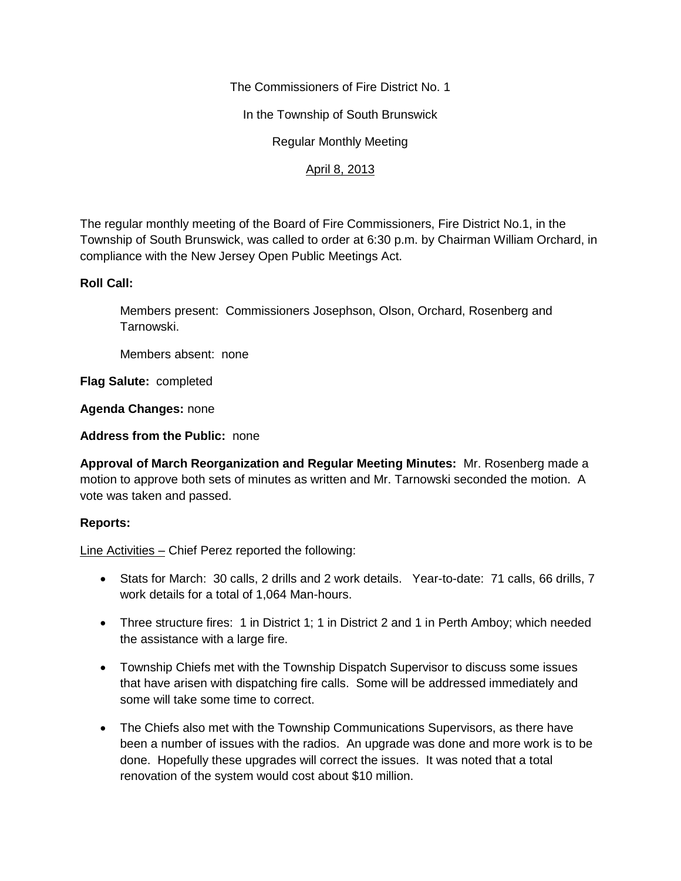The Commissioners of Fire District No. 1

In the Township of South Brunswick

Regular Monthly Meeting

# April 8, 2013

The regular monthly meeting of the Board of Fire Commissioners, Fire District No.1, in the Township of South Brunswick, was called to order at 6:30 p.m. by Chairman William Orchard, in compliance with the New Jersey Open Public Meetings Act.

#### **Roll Call:**

Members present: Commissioners Josephson, Olson, Orchard, Rosenberg and Tarnowski.

Members absent: none

**Flag Salute:** completed

**Agenda Changes:** none

**Address from the Public:** none

**Approval of March Reorganization and Regular Meeting Minutes:** Mr. Rosenberg made a motion to approve both sets of minutes as written and Mr. Tarnowski seconded the motion. A vote was taken and passed.

## **Reports:**

Line Activities – Chief Perez reported the following:

- Stats for March: 30 calls, 2 drills and 2 work details. Year-to-date: 71 calls, 66 drills, 7 work details for a total of 1,064 Man-hours.
- Three structure fires: 1 in District 1; 1 in District 2 and 1 in Perth Amboy; which needed the assistance with a large fire.
- Township Chiefs met with the Township Dispatch Supervisor to discuss some issues that have arisen with dispatching fire calls. Some will be addressed immediately and some will take some time to correct.
- The Chiefs also met with the Township Communications Supervisors, as there have been a number of issues with the radios. An upgrade was done and more work is to be done. Hopefully these upgrades will correct the issues. It was noted that a total renovation of the system would cost about \$10 million.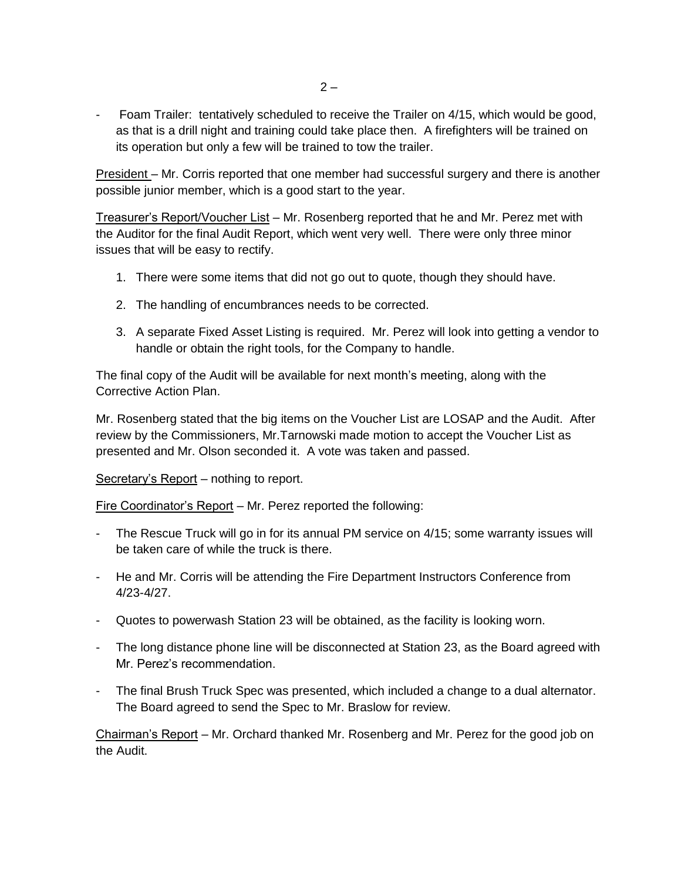- Foam Trailer: tentatively scheduled to receive the Trailer on 4/15, which would be good, as that is a drill night and training could take place then. A firefighters will be trained on its operation but only a few will be trained to tow the trailer.

President – Mr. Corris reported that one member had successful surgery and there is another possible junior member, which is a good start to the year.

Treasurer's Report/Voucher List – Mr. Rosenberg reported that he and Mr. Perez met with the Auditor for the final Audit Report, which went very well. There were only three minor issues that will be easy to rectify.

- 1. There were some items that did not go out to quote, though they should have.
- 2. The handling of encumbrances needs to be corrected.
- 3. A separate Fixed Asset Listing is required. Mr. Perez will look into getting a vendor to handle or obtain the right tools, for the Company to handle.

The final copy of the Audit will be available for next month's meeting, along with the Corrective Action Plan.

Mr. Rosenberg stated that the big items on the Voucher List are LOSAP and the Audit. After review by the Commissioners, Mr.Tarnowski made motion to accept the Voucher List as presented and Mr. Olson seconded it. A vote was taken and passed.

Secretary's Report – nothing to report.

Fire Coordinator's Report – Mr. Perez reported the following:

- The Rescue Truck will go in for its annual PM service on 4/15; some warranty issues will be taken care of while the truck is there.
- He and Mr. Corris will be attending the Fire Department Instructors Conference from 4/23-4/27.
- Quotes to powerwash Station 23 will be obtained, as the facility is looking worn.
- The long distance phone line will be disconnected at Station 23, as the Board agreed with Mr. Perez's recommendation.
- The final Brush Truck Spec was presented, which included a change to a dual alternator. The Board agreed to send the Spec to Mr. Braslow for review.

Chairman's Report – Mr. Orchard thanked Mr. Rosenberg and Mr. Perez for the good job on the Audit.